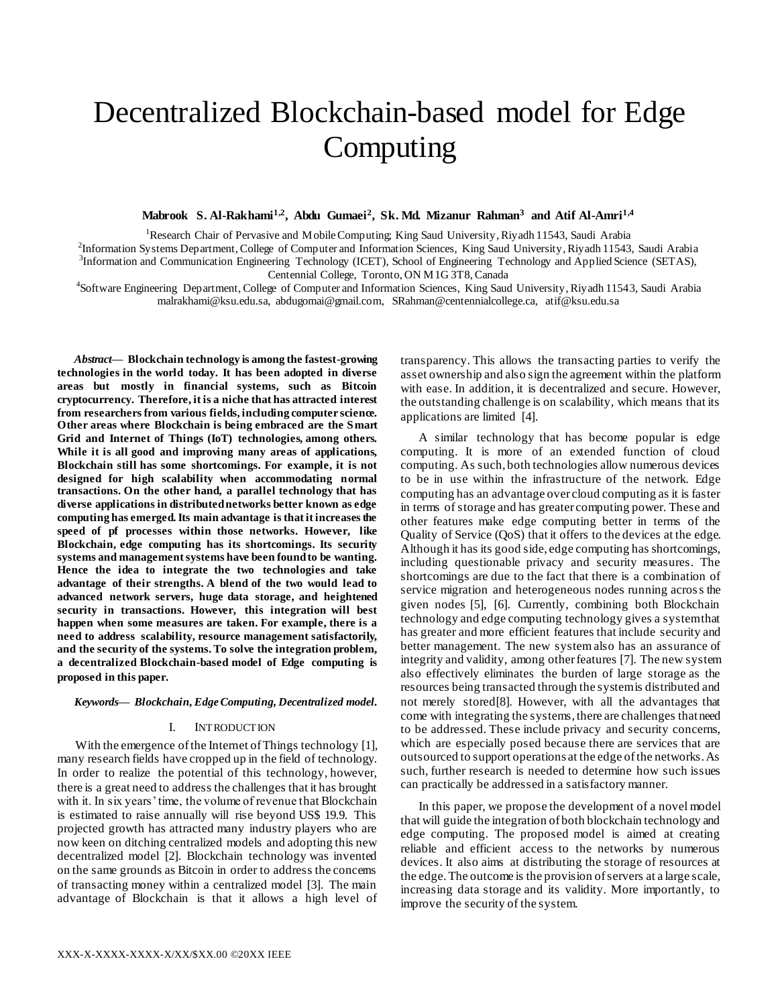# Decentralized Blockchain-based model for Edge Computing

# **Mabrook S. Al-Rakhami1,2 , Abdu Gumaei<sup>2</sup> , Sk. Md. Mizanur Rahman<sup>3</sup> and Atif Al-Amri1,4**

<sup>1</sup>Research Chair of Pervasive and Mobile Computing; King Saud University, Riyadh 11543, Saudi Arabia

2 Information Systems Department, College of Computer and Information Sciences, King Saud University, Riyadh 11543, Saudi Arabia 3 Information and Communication Engineering Technology (ICET), School of Engineering Technology and Applied Science (SETAS), Centennial College, Toronto, ON M1G 3T8, Canada

<sup>4</sup>Software Engineering Department, College of Computer and Information Sciences, King Saud University, Riyadh 11543, Saudi Arabia malrakhami@ksu.edu.sa, abdugomai@gmail.com, SRahman@centennialcollege.ca, atif@ksu.edu.sa

*Abstract***— Blockchain technology is among the fastest-growing technologies in the world today. It has been adopted in diverse areas but mostly in financial systems, such as Bitcoin cryptocurrency. Therefore, it is a niche that has attracted interest from researchers from various fields, including computer science. Other areas where Blockchain is being embraced are the Smart Grid and Internet of Things (IoT) technologies, among others. While it is all good and improving many areas of applications, Blockchain still has some shortcomings. For example, it is not designed for high scalability when accommodating normal transactions. On the other hand, a parallel technology that has diverse applications in distributed networks better known as edge computing has emerged. Its main advantage is that it increases the speed of pf processes within those networks. However, like Blockchain, edge computing has its shortcomings. Its security systems and management systems have been found to be wanting. Hence the idea to integrate the two technologies and take advantage of their strengths. A blend of the two would lead to advanced network servers, huge data storage, and heightened security in transactions. However, this integration will best happen when some measures are taken. For example, there is a need to address scalability, resource management satisfactorily, and the security of the systems. To solve the integration problem, a decentralized Blockchain-based model of Edge computing is proposed in this paper.**

#### *Keywords— Blockchain, Edge Computing, Decentralized model.*

# I. INTRODUCTION

With the emergence of the Internet of Things technology [1], many research fields have cropped up in the field of technology. In order to realize the potential of this technology, however, there is a great need to address the challenges that it has brought with it. In six years' time, the volume of revenue that Blockchain is estimated to raise annually will rise beyond US\$ 19.9. This projected growth has attracted many industry players who are now keen on ditching centralized models and adopting this new decentralized model [2]. Blockchain technology was invented on the same grounds as Bitcoin in order to address the concerns of transacting money within a centralized model [3]. The main advantage of Blockchain is that it allows a high level of

transparency. This allows the transacting parties to verify the asset ownership and also sign the agreement within the platform with ease. In addition, it is decentralized and secure. However, the outstanding challenge is on scalability, which means that its applications are limited [4].

A similar technology that has become popular is edge computing. It is more of an extended function of cloud computing. As such, both technologies allow numerous devices to be in use within the infrastructure of the network. Edge computing has an advantage over cloud computing as it is faster in terms of storage and has greater computing power. These and other features make edge computing better in terms of the Quality of Service (QoS) that it offers to the devices at the edge. Although it has its good side, edge computing has shortcomings, including questionable privacy and security measures. The shortcomings are due to the fact that there is a combination of service migration and heterogeneous nodes running across the given nodes [5], [6]. Currently, combining both Blockchain technology and edge computing technology gives a system that has greater and more efficient features that include security and better management. The new system also has an assurance of integrity and validity, among other features [7]. The new system also effectively eliminates the burden of large storage as the resources being transacted through the system is distributed and not merely stored[8]. However, with all the advantages that come with integrating the systems, there are challenges that need to be addressed. These include privacy and security concerns, which are especially posed because there are services that are outsourced to support operations at the edge of the networks. As such, further research is needed to determine how such issues can practically be addressed in a satisfactory manner.

In this paper, we propose the development of a novel model that will guide the integration of both blockchain technology and edge computing. The proposed model is aimed at creating reliable and efficient access to the networks by numerous devices. It also aims at distributing the storage of resources at the edge. The outcome is the provision of servers at a large scale, increasing data storage and its validity. More importantly, to improve the security of the system.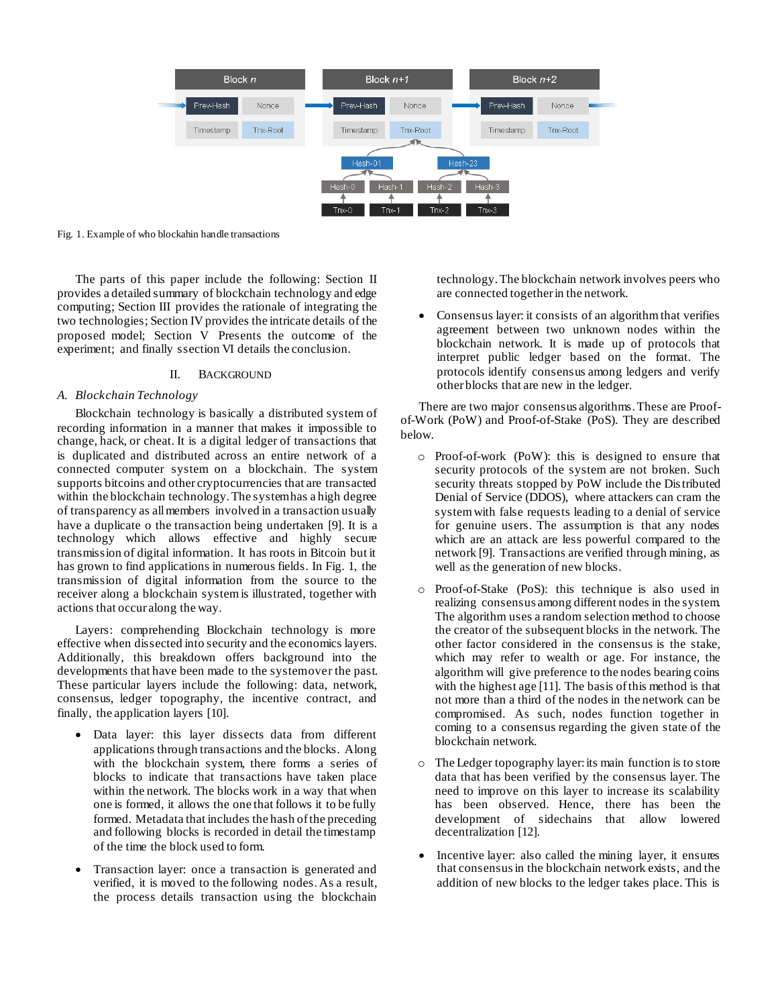

Fig. 1. Example of who blockahin handle transactions

The parts of this paper include the following: Section II provides a detailed summary of blockchain technology and edge computing; Section III provides the rationale of integrating the two technologies; Section IV provides the intricate details of the proposed model; Section  $\overrightarrow{V}$  Presents the outcome of the experiment; and finally ssection VI details the conclusion.

# II. BACKGROUND

## *A. Blockchain Technology*

Blockchain technology is basically a distributed system of recording information in a manner that makes it impossible to change, hack, or cheat. It is a digital ledger of transactions that is duplicated and distributed across an entire network of a connected computer system on a blockchain. The system supports bitcoins and other cryptocurrencies that are transacted within the blockchain technology. The system has a high degree of transparency as all members involved in a transaction usually have a duplicate o the transaction being undertaken [9]. It is a technology which allows effective and highly secure transmission of digital information. It has roots in Bitcoin but it has grown to find applications in numerous fields. In Fig. 1, the transmission of digital information from the source to the receiver along a blockchain system is illustrated, together with actions that occur along the way.

Layers: comprehending Blockchain technology is more effective when dissected into security and the economics layers. Additionally, this breakdown offers background into the developments that have been made to the system over the past. These particular layers include the following: data, network, consensus, ledger topography, the incentive contract, and finally, the application layers [10].

- Data layer: this layer dissects data from different applications through transactions and the blocks. Along with the blockchain system, there forms a series of blocks to indicate that transactions have taken place within the network. The blocks work in a way that when one is formed, it allows the one that follows it to be fully formed. Metadata that includes the hash of the preceding and following blocks is recorded in detail the timestamp of the time the block used to form.
- Transaction layer: once a transaction is generated and verified, it is moved to the following nodes. As a result, the process details transaction using the blockchain

technology. The blockchain network involves peers who are connected together in the network.

 Consensus layer: it consists of an algorithm that verifies agreement between two unknown nodes within the blockchain network. It is made up of protocols that interpret public ledger based on the format. The protocols identify consensus among ledgers and verify other blocks that are new in the ledger.

There are two major consensus algorithms. These are Proofof-Work (PoW) and Proof-of-Stake (PoS). They are described below.

- o Proof-of-work (PoW): this is designed to ensure that security protocols of the system are not broken. Such security threats stopped by PoW include the Distributed Denial of Service (DDOS), where attackers can cram the system with false requests leading to a denial of service for genuine users. The assumption is that any nodes which are an attack are less powerful compared to the network [9]. Transactions are verified through mining, as well as the generation of new blocks.
- o Proof-of-Stake (PoS): this technique is also used in realizing consensus among different nodes in the system. The algorithm uses a random selection method to choose the creator of the subsequent blocks in the network. The other factor considered in the consensus is the stake, which may refer to wealth or age. For instance, the algorithm will give preference to the nodes bearing coins with the highest age [11]. The basis of this method is that not more than a third of the nodes in the network can be compromised. As such, nodes function together in coming to a consensus regarding the given state of the blockchain network.
- o The Ledger topography layer: its main function is to store data that has been verified by the consensus layer. The need to improve on this layer to increase its scalability has been observed. Hence, there has been the development of sidechains that allow lowered decentralization [12].
- Incentive layer: also called the mining layer, it ensures that consensus in the blockchain network exists, and the addition of new blocks to the ledger takes place. This is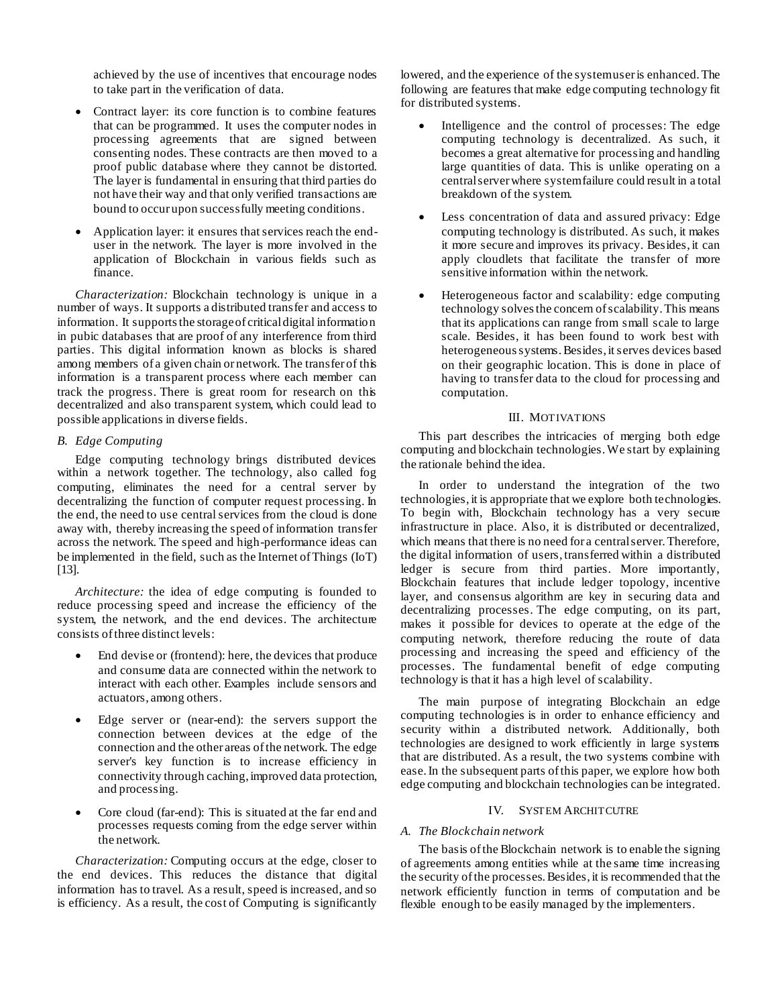achieved by the use of incentives that encourage nodes to take part in the verification of data.

- Contract layer: its core function is to combine features that can be programmed. It uses the computer nodes in processing agreements that are signed between consenting nodes. These contracts are then moved to a proof public database where they cannot be distorted. The layer is fundamental in ensuring that third parties do not have their way and that only verified transactions are bound to occur upon successfully meeting conditions.
- Application layer: it ensures that services reach the enduser in the network. The layer is more involved in the application of Blockchain in various fields such as finance.

*Characterization:* Blockchain technology is unique in a number of ways. It supports a distributed transfer and access to information. It supports the storage of critical digital information in pubic databases that are proof of any interference from third parties. This digital information known as blocks is shared among members of a given chain or network. The transfer of this information is a transparent process where each member can track the progress. There is great room for research on this decentralized and also transparent system, which could lead to possible applications in diverse fields.

# *B. Edge Computing*

Edge computing technology brings distributed devices within a network together. The technology, also called fog computing, eliminates the need for a central server by decentralizing the function of computer request processing. In the end, the need to use central services from the cloud is done away with, thereby increasing the speed of information transfer across the network. The speed and high-performance ideas can be implemented in the field, such as the Internet of Things (IoT) [13].

*Architecture:* the idea of edge computing is founded to reduce processing speed and increase the efficiency of the system, the network, and the end devices. The architecture consists of three distinct levels:

- End devise or (frontend): here, the devices that produce and consume data are connected within the network to interact with each other. Examples include sensors and actuators, among others.
- Edge server or (near-end): the servers support the connection between devices at the edge of the connection and the other areas of the network. The edge server's key function is to increase efficiency in connectivity through caching, improved data protection, and processing.
- Core cloud (far-end): This is situated at the far end and processes requests coming from the edge server within the network.

*Characterization:* Computing occurs at the edge, closer to the end devices. This reduces the distance that digital information has to travel. As a result, speed is increased, and so is efficiency. As a result, the cost of Computing is significantly

lowered, and the experience of the system user is enhanced. The following are features that make edge computing technology fit for distributed systems.

- Intelligence and the control of processes: The edge computing technology is decentralized. As such, it becomes a great alternative for processing and handling large quantities of data. This is unlike operating on a central server where system failure could result in a total breakdown of the system.
- Less concentration of data and assured privacy: Edge computing technology is distributed. As such, it makes it more secure and improves its privacy. Besides, it can apply cloudlets that facilitate the transfer of more sensitive information within the network.
- Heterogeneous factor and scalability: edge computing technology solves the concern of scalability. This means that its applications can range from small scale to large scale. Besides, it has been found to work best with heterogeneous systems. Besides, it serves devices based on their geographic location. This is done in place of having to transfer data to the cloud for processing and computation.

## III. MOTIVATIONS

This part describes the intricacies of merging both edge computing and blockchain technologies. We start by explaining the rationale behind the idea.

In order to understand the integration of the two technologies, it is appropriate that we explore both technologies. To begin with, Blockchain technology has a very secure infrastructure in place. Also, it is distributed or decentralized, which means that there is no need for a central server. Therefore, the digital information of users, transferred within a distributed ledger is secure from third parties. More importantly, Blockchain features that include ledger topology, incentive layer, and consensus algorithm are key in securing data and decentralizing processes. The edge computing, on its part, makes it possible for devices to operate at the edge of the computing network, therefore reducing the route of data processing and increasing the speed and efficiency of the processes. The fundamental benefit of edge computing technology is that it has a high level of scalability.

The main purpose of integrating Blockchain an edge computing technologies is in order to enhance efficiency and security within a distributed network. Additionally, both technologies are designed to work efficiently in large systems that are distributed. As a result, the two systems combine with ease. In the subsequent parts of this paper, we explore how both edge computing and blockchain technologies can be integrated.

## IV. SYSTEM ARCHITCUTRE

## *A. The Blockchain network*

The basis of the Blockchain network is to enable the signing of agreements among entities while at the same time increasing the security of the processes. Besides, it is recommended that the network efficiently function in terms of computation and be flexible enough to be easily managed by the implementers.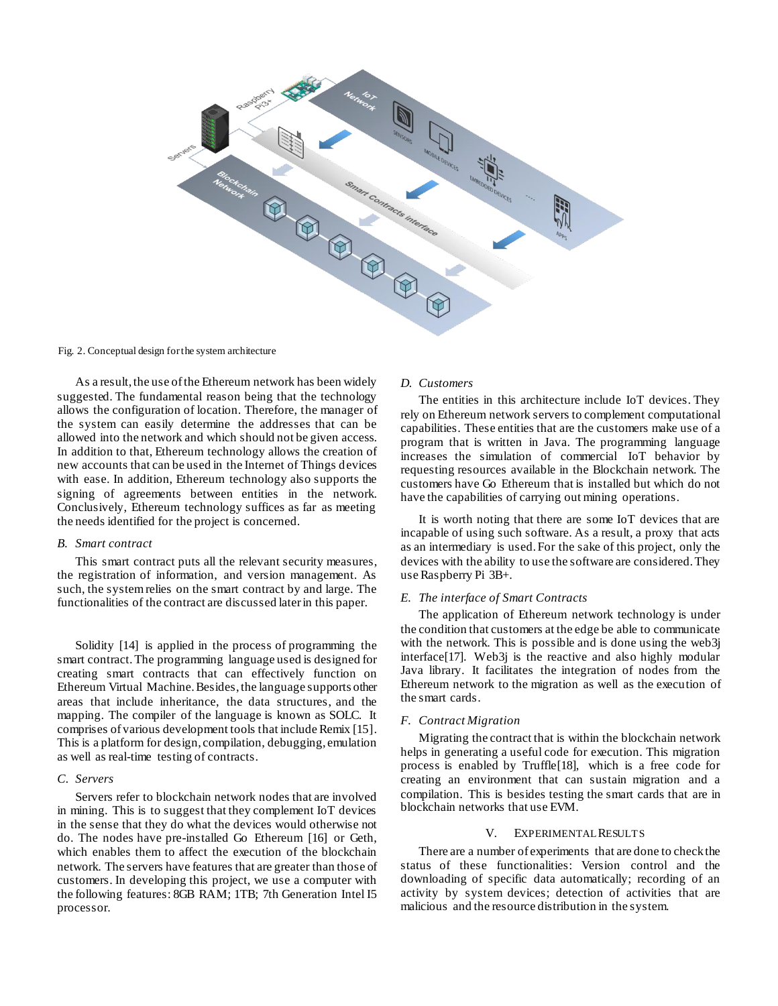

Fig. 2. Conceptual design for the system architecture

As a result, the use of the Ethereum network has been widely suggested. The fundamental reason being that the technology allows the configuration of location. Therefore, the manager of the system can easily determine the addresses that can be allowed into the network and which should not be given access. In addition to that, Ethereum technology allows the creation of new accounts that can be used in the Internet of Things devices with ease. In addition, Ethereum technology also supports the signing of agreements between entities in the network. Conclusively, Ethereum technology suffices as far as meeting the needs identified for the project is concerned.

### *B. Smart contract*

This smart contract puts all the relevant security measures, the registration of information, and version management. As such, the system relies on the smart contract by and large. The functionalities of the contract are discussed later in this paper.

Solidity [14] is applied in the process of programming the smart contract. The programming language used is designed for creating smart contracts that can effectively function on Ethereum Virtual Machine. Besides, the language supports other areas that include inheritance, the data structures, and the mapping. The compiler of the language is known as SOLC. It comprises of various development tools that include Remix [15]. This is a platform for design, compilation, debugging, emulation as well as real-time testing of contracts.

## *C. Servers*

Servers refer to blockchain network nodes that are involved in mining. This is to suggest that they complement IoT devices in the sense that they do what the devices would otherwise not do. The nodes have pre-installed Go Ethereum [16] or Geth, which enables them to affect the execution of the blockchain network. The servers have features that are greater than those of customers. In developing this project, we use a computer with the following features: 8GB RAM; 1TB; 7th Generation Intel I5 processor.

## *D. Customers*

The entities in this architecture include IoT devices. They rely on Ethereum network servers to complement computational capabilities. These entities that are the customers make use of a program that is written in Java. The programming language increases the simulation of commercial IoT behavior by requesting resources available in the Blockchain network. The customers have Go Ethereum that is installed but which do not have the capabilities of carrying out mining operations.

It is worth noting that there are some IoT devices that are incapable of using such software. As a result, a proxy that acts as an intermediary is used. For the sake of this project, only the devices with the ability to use the software are considered. They use Raspberry Pi 3B+.

#### *E. The interface of Smart Contracts*

The application of Ethereum network technology is under the condition that customers at the edge be able to communicate with the network. This is possible and is done using the web3j interface[17]. Web3j is the reactive and also highly modular Java library. It facilitates the integration of nodes from the Ethereum network to the migration as well as the execution of the smart cards.

## *F. Contract Migration*

Migrating the contract that is within the blockchain network helps in generating a useful code for execution. This migration process is enabled by Truffle[18], which is a free code for creating an environment that can sustain migration and a compilation. This is besides testing the smart cards that are in blockchain networks that use EVM.

## V. EXPERIMENTAL RESULTS

There are a number of experiments that are done to check the status of these functionalities: Version control and the downloading of specific data automatically; recording of an activity by system devices; detection of activities that are malicious and the resource distribution in the system.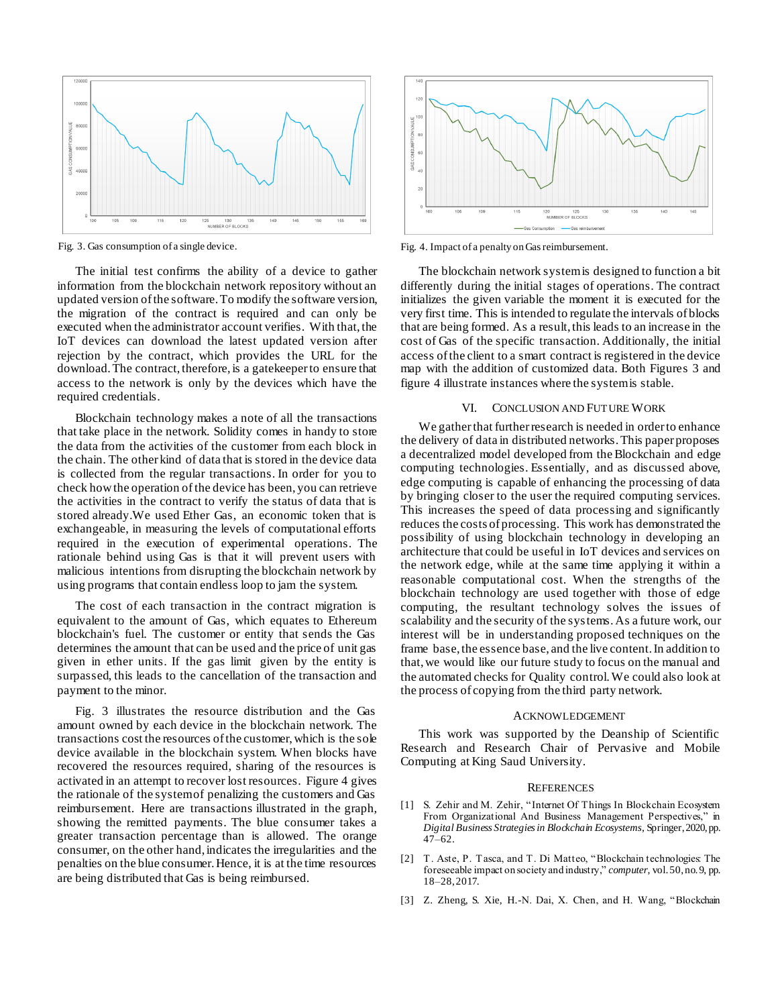

The initial test confirms the ability of a device to gather information from the blockchain network repository without an updated version of the software. To modify the software version, the migration of the contract is required and can only be executed when the administrator account verifies. With that, the IoT devices can download the latest updated version after rejection by the contract, which provides the URL for the download. The contract, therefore, is a gatekeeper to ensure that access to the network is only by the devices which have the required credentials.

Blockchain technology makes a note of all the transactions that take place in the network. Solidity comes in handy to store the data from the activities of the customer from each block in the chain. The other kind of data that is stored in the device data is collected from the regular transactions. In order for you to check how the operation of the device has been, you can retrieve the activities in the contract to verify the status of data that is stored already.We used Ether Gas, an economic token that is exchangeable, in measuring the levels of computational efforts required in the execution of experimental operations. The rationale behind using Gas is that it will prevent users with malicious intentions from disrupting the blockchain network by using programs that contain endless loop to jam the system.

The cost of each transaction in the contract migration is equivalent to the amount of Gas, which equates to Ethereum blockchain's fuel. The customer or entity that sends the Gas determines the amount that can be used and the price of unit gas given in ether units. If the gas limit given by the entity is surpassed, this leads to the cancellation of the transaction and payment to the minor.

Fig. 3 illustrates the resource distribution and the Gas amount owned by each device in the blockchain network. The transactions cost the resources of the customer, which is the sole device available in the blockchain system. When blocks have recovered the resources required, sharing of the resources is activated in an attempt to recover lost resources. Figure 4 gives the rationale of the system of penalizing the customers and Gas reimbursement. Here are transactions illustrated in the graph, showing the remitted payments. The blue consumer takes a greater transaction percentage than is allowed. The orange consumer, on the other hand, indicates the irregularities and the penalties on the blue consumer. Hence, it is at the time resources are being distributed that Gas is being reimbursed.



Fig. 3. Gas consumption of a single device. The same state of a penalty on Gas reimbursement.

The blockchain network system is designed to function a bit differently during the initial stages of operations. The contract initializes the given variable the moment it is executed for the very first time. This is intended to regulate the intervals of blocks that are being formed. As a result, this leads to an increase in the cost of Gas of the specific transaction. Additionally, the initial access of the client to a smart contract is registered in the device map with the addition of customized data. Both Figures 3 and figure 4 illustrate instances where the system is stable.

## VI. CONCLUSION AND FUTURE WORK

We gather that further research is needed in order to enhance the delivery of data in distributed networks. This paper proposes a decentralized model developed from the Blockchain and edge computing technologies. Essentially, and as discussed above, edge computing is capable of enhancing the processing of data by bringing closer to the user the required computing services. This increases the speed of data processing and significantly reduces the costs of processing. This work has demonstrated the possibility of using blockchain technology in developing an architecture that could be useful in IoT devices and services on the network edge, while at the same time applying it within a reasonable computational cost. When the strengths of the blockchain technology are used together with those of edge computing, the resultant technology solves the issues of scalability and the security of the systems.As a future work, our interest will be in understanding proposed techniques on the frame base, the essence base, and the live content. In addition to that, we would like our future study to focus on the manual and the automated checks for Quality control. We could also look at the process of copying from the third party network.

#### ACKNOWLEDGEMENT

This work was supported by the Deanship of Scientific Research and Research Chair of Pervasive and Mobile Computing at King Saud University.

#### **REFERENCES**

- [1] S. Zehir and M. Zehir, "Internet Of Things In Blockchain Ecosystem From Organizational And Business Management Perspectives," in *Digital Business Strategies in Blockchain Ecosystems*, Springer, 2020, pp. 47–62.
- [2] T. Aste, P. Tasca, and T. Di Matteo, "Blockchain technologies: The foreseeable impact on society and industry," *computer*, vol. 50, no. 9, pp. 18–28, 2017.
- [3] Z. Zheng, S. Xie, H.-N. Dai, X. Chen, and H. Wang, "Blockchain